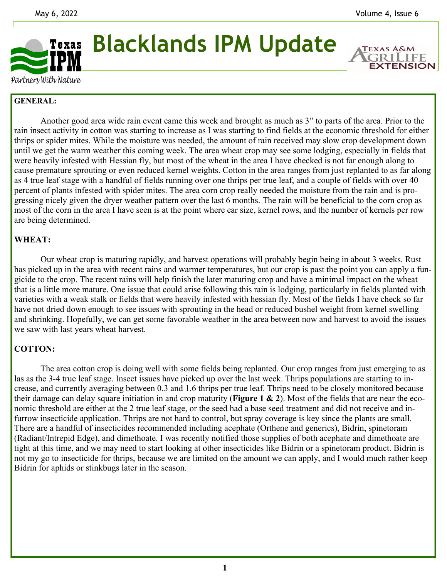**EXTENSION** 



**Blacklands IPM Update** 

Partners With Nature

## **GENERAL:**

 Another good area wide rain event came this week and brought as much as 3" to parts of the area. Prior to the rain insect activity in cotton was starting to increase as I was starting to find fields at the economic threshold for either thrips or spider mites. While the moisture was needed, the amount of rain received may slow crop development down until we get the warm weather this coming week. The area wheat crop may see some lodging, especially in fields that were heavily infested with Hessian fly, but most of the wheat in the area I have checked is not far enough along to cause premature sprouting or even reduced kernel weights. Cotton in the area ranges from just replanted to as far along as 4 true leaf stage with a handful of fields running over one thrips per true leaf, and a couple of fields with over 40 percent of plants infested with spider mites. The area corn crop really needed the moisture from the rain and is progressing nicely given the dryer weather pattern over the last 6 months. The rain will be beneficial to the corn crop as most of the corn in the area I have seen is at the point where ear size, kernel rows, and the number of kernels per row are being determined.

## **WHEAT:**

 Our wheat crop is maturing rapidly, and harvest operations will probably begin being in about 3 weeks. Rust has picked up in the area with recent rains and warmer temperatures, but our crop is past the point you can apply a fungicide to the crop. The recent rains will help finish the later maturing crop and have a minimal impact on the wheat that is a little more mature. One issue that could arise following this rain is lodging, particularly in fields planted with varieties with a weak stalk or fields that were heavily infested with hessian fly. Most of the fields I have check so far have not dried down enough to see issues with sprouting in the head or reduced bushel weight from kernel swelling and shrinking. Hopefully, we can get some favorable weather in the area between now and harvest to avoid the issues we saw with last years wheat harvest.

## **COTTON:**

 The area cotton crop is doing well with some fields being replanted. Our crop ranges from just emerging to as las as the 3-4 true leaf stage. Insect issues have picked up over the last week. Thrips populations are starting to increase, and currently averaging between 0.3 and 1.6 thrips per true leaf. Thrips need to be closely monitored because their damage can delay square initiation in and crop maturity (**Figure 1 & 2**). Most of the fields that are near the economic threshold are either at the 2 true leaf stage, or the seed had a base seed treatment and did not receive and infurrow insecticide application. Thrips are not hard to control, but spray coverage is key since the plants are small. There are a handful of insecticides recommended including acephate (Orthene and generics), Bidrin, spinetoram (Radiant/Intrepid Edge), and dimethoate. I was recently notified those supplies of both acephate and dimethoate are tight at this time, and we may need to start looking at other insecticides like Bidrin or a spinetoram product. Bidrin is not my go to insecticide for thrips, because we are limited on the amount we can apply, and I would much rather keep Bidrin for aphids or stinkbugs later in the season.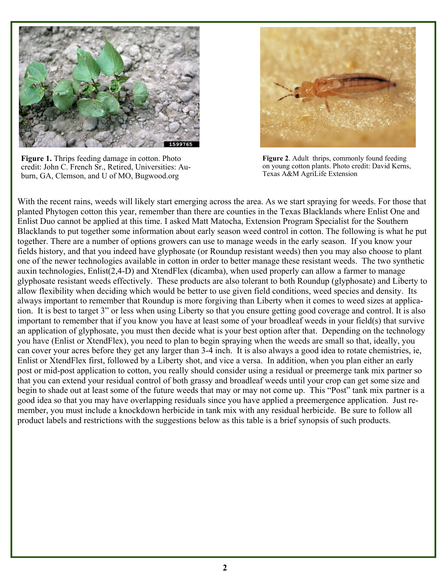

**Figure 1.** Thrips feeding damage in cotton. Photo credit: John C. French Sr., Retired, Universities: Auburn, GA, Clemson, and U of MO, Bugwood.org



**Figure 2**. Adult thrips, commonly found feeding on young cotton plants. Photo credit: David Kerns, Texas A&M AgriLife Extension

With the recent rains, weeds will likely start emerging across the area. As we start spraying for weeds. For those that planted Phytogen cotton this year, remember than there are counties in the Texas Blacklands where Enlist One and Enlist Duo cannot be applied at this time. I asked Matt Matocha, Extension Program Specialist for the Southern Blacklands to put together some information about early season weed control in cotton. The following is what he put together. There are a number of options growers can use to manage weeds in the early season. If you know your fields history, and that you indeed have glyphosate (or Roundup resistant weeds) then you may also choose to plant one of the newer technologies available in cotton in order to better manage these resistant weeds. The two synthetic auxin technologies, Enlist(2,4-D) and XtendFlex (dicamba), when used properly can allow a farmer to manage glyphosate resistant weeds effectively. These products are also tolerant to both Roundup (glyphosate) and Liberty to allow flexibility when deciding which would be better to use given field conditions, weed species and density. Its always important to remember that Roundup is more forgiving than Liberty when it comes to weed sizes at application. It is best to target 3" or less when using Liberty so that you ensure getting good coverage and control. It is also important to remember that if you know you have at least some of your broadleaf weeds in your field(s) that survive an application of glyphosate, you must then decide what is your best option after that. Depending on the technology you have (Enlist or XtendFlex), you need to plan to begin spraying when the weeds are small so that, ideally, you can cover your acres before they get any larger than 3-4 inch. It is also always a good idea to rotate chemistries, ie, Enlist or XtendFlex first, followed by a Liberty shot, and vice a versa. In addition, when you plan either an early post or mid-post application to cotton, you really should consider using a residual or preemerge tank mix partner so that you can extend your residual control of both grassy and broadleaf weeds until your crop can get some size and begin to shade out at least some of the future weeds that may or may not come up. This "Post" tank mix partner is a good idea so that you may have overlapping residuals since you have applied a preemergence application. Just remember, you must include a knockdown herbicide in tank mix with any residual herbicide. Be sure to follow all product labels and restrictions with the suggestions below as this table is a brief synopsis of such products.